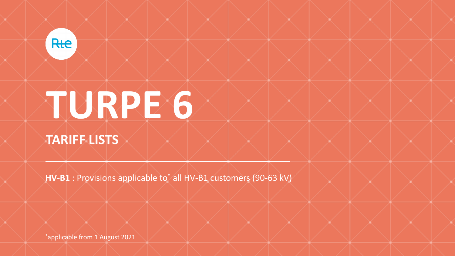

# **TURPE 6 TARIFF LISTS**

**HV-B1** : Provisions applicable to\* all HV-B1 customers (90-63 kV)

\*applicable from 1 August 2021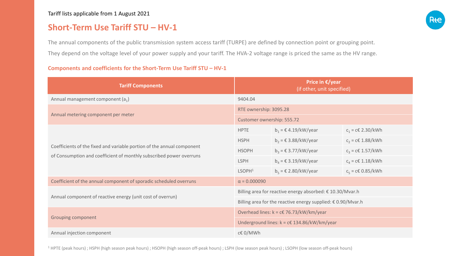## **Short-Term Use Tariff STU – HV-1**

The annual components of the public transmission system access tariff (TURPE) are defined by connection point or grouping point. They depend on the voltage level of your power supply and your tariff. The HVA-2 voltage range is priced the same as the HV range.

#### **Components and coefficients for the Short-Term Use Tariff STU – HV-1**

| <b>Tariff Components</b>                                                                                                                      | Price in $\epsilon$ /year<br>(if other, unit specified)               |                                                  |                     |  |
|-----------------------------------------------------------------------------------------------------------------------------------------------|-----------------------------------------------------------------------|--------------------------------------------------|---------------------|--|
| Annual management component $(a_1)$                                                                                                           | 9404.04                                                               |                                                  |                     |  |
| Annual metering component per meter                                                                                                           | RTE ownership: 3095.28                                                |                                                  |                     |  |
|                                                                                                                                               | Customer ownership: 555.72                                            |                                                  |                     |  |
| Coefficients of the fixed and variable portion of the annual component<br>of Consumption and coefficient of monthly subscribed power overruns | <b>HPTE</b>                                                           | $b_1$ = € 4.19/kW/year                           | $c_1$ = c€ 2.30/kWh |  |
|                                                                                                                                               | <b>HSPH</b>                                                           | $b_2$ = $\epsilon$ 3.88/kW/year                  | $c_2$ = c€ 1.88/kWh |  |
|                                                                                                                                               | <b>HSOPH</b>                                                          | $b_3 = \text{\textsterling} 3.77/\text{kW/year}$ | $c_3$ = c€ 1.57/kWh |  |
|                                                                                                                                               | <b>LSPH</b>                                                           | $b_4$ = $\epsilon$ 3.19/kW/year                  | $c_4$ = c€ 1.18/kWh |  |
|                                                                                                                                               | LSOPH <sup>1</sup>                                                    | $b_5$ = $\epsilon$ 2.80/kW/year                  | $c_5$ = c€ 0.85/kWh |  |
| Coefficient of the annual component of sporadic scheduled overruns                                                                            | $\alpha = 0.000090$                                                   |                                                  |                     |  |
| Annual component of reactive energy (unit cost of overrun)                                                                                    | Billing area for reactive energy absorbed: € 10.30/Mvar.h             |                                                  |                     |  |
|                                                                                                                                               | Billing area for the reactive energy supplied: $\epsilon$ 0.90/Mvar.h |                                                  |                     |  |
| <b>Grouping component</b>                                                                                                                     | Overhead lines: $k = c€ 76.73/kW/km/year$                             |                                                  |                     |  |
|                                                                                                                                               | Underground lines: $k = c \in 134.86/kW/km/year$                      |                                                  |                     |  |
| Annual injection component                                                                                                                    | c€ 0/MWh                                                              |                                                  |                     |  |

<sup>1</sup> HPTE (peak hours) ; HSPH (high season peak hours) ; HSOPH (high season off-peak hours) ; LSPH (low season peak hours) ; LSOPH (low season off-peak hours)

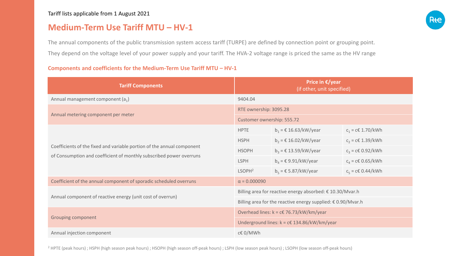## **Medium-Term Use Tariff MTU – HV-1**

The annual components of the public transmission system access tariff (TURPE) are defined by connection point or grouping point. They depend on the voltage level of your power supply and your tariff. The HVA-2 voltage range is priced the same as the HV range

### **Components and coefficients for the Medium-Term Use Tariff MTU – HV-1**

| <b>Tariff Components</b>                                                                                                                      | Price in $\epsilon$ /year<br>(if other, unit specified)               |                                                   |                          |  |
|-----------------------------------------------------------------------------------------------------------------------------------------------|-----------------------------------------------------------------------|---------------------------------------------------|--------------------------|--|
| Annual management component $(a_1)$                                                                                                           | 9404.04                                                               |                                                   |                          |  |
| Annual metering component per meter                                                                                                           | RTE ownership: 3095.28                                                |                                                   |                          |  |
|                                                                                                                                               | Customer ownership: 555.72                                            |                                                   |                          |  |
| Coefficients of the fixed and variable portion of the annual component<br>of Consumption and coefficient of monthly subscribed power overruns | <b>HPTE</b>                                                           | $b_1 = \text{\textsterling} 16.63/\text{kW/year}$ | $c_1 = c \in 1.70 / kWh$ |  |
|                                                                                                                                               | <b>HSPH</b>                                                           | $b_2$ = € 16.02/kW/year                           | $c_2$ = c€ 1.39/kWh      |  |
|                                                                                                                                               | <b>HSOPH</b>                                                          | $b_3$ = € 13.59/kW/year                           | $c_3 = c \in 0.92 / kWh$ |  |
|                                                                                                                                               | <b>LSPH</b>                                                           | $b_4$ = $\epsilon$ 9.91/kW/year                   | $c_4 = c \in 0.65 / kWh$ |  |
|                                                                                                                                               | LSOPH <sup>2</sup>                                                    | $b_5$ = $\epsilon$ 5.87/kW/year                   | $c_5 = c \in 0.44 / kWh$ |  |
| Coefficient of the annual component of sporadic scheduled overruns                                                                            | $\alpha = 0.000090$                                                   |                                                   |                          |  |
| Annual component of reactive energy (unit cost of overrun)                                                                                    | Billing area for reactive energy absorbed: € 10.30/Mvar.h             |                                                   |                          |  |
|                                                                                                                                               | Billing area for the reactive energy supplied: $\epsilon$ 0.90/Mvar.h |                                                   |                          |  |
| <b>Grouping component</b>                                                                                                                     | Overhead lines: $k = c€ 76.73/kW/km/year$                             |                                                   |                          |  |
|                                                                                                                                               | Underground lines: $k = c€ 134.86/kW/km/year$                         |                                                   |                          |  |
| Annual injection component                                                                                                                    | c€ 0/MWh                                                              |                                                   |                          |  |

<sup>2</sup> HPTE (peak hours) ; HSPH (high season peak hours) ; HSOPH (high season off-peak hours) ; LSPH (low season peak hours) ; LSOPH (low season off-peak hours)